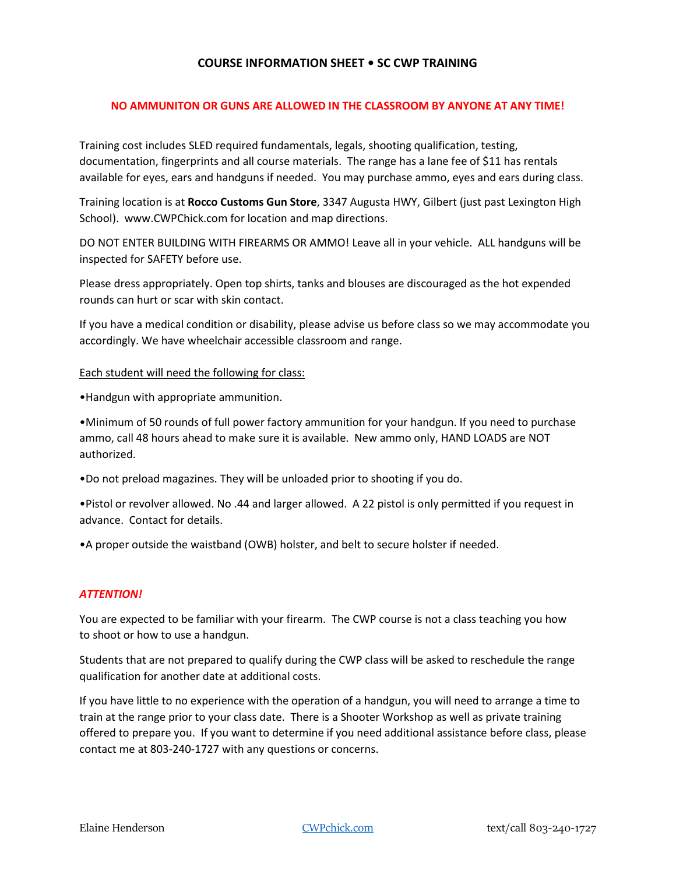# **COURSE INFORMATION SHEET • SC CWP TRAINING**

# **NO AMMUNITON OR GUNS ARE ALLOWED IN THE CLASSROOM BY ANYONE AT ANY TIME!**

Training cost includes SLED required fundamentals, legals, shooting qualification, testing, documentation, fingerprints and all course materials. The range has a lane fee of \$11 has rentals available for eyes, ears and handguns if needed. You may purchase ammo, eyes and ears during class.

Training location is at **Rocco Customs Gun Store**, 3347 Augusta HWY, Gilbert (just past Lexington High School). www.CWPChick.com for location and map directions.

DO NOT ENTER BUILDING WITH FIREARMS OR AMMO! Leave all in your vehicle. ALL handguns will be inspected for SAFETY before use.

Please dress appropriately. Open top shirts, tanks and blouses are discouraged as the hot expended rounds can hurt or scar with skin contact.

If you have a medical condition or disability, please advise us before class so we may accommodate you accordingly. We have wheelchair accessible classroom and range.

#### Each student will need the following for class:

•Handgun with appropriate ammunition.

•Minimum of 50 rounds of full power factory ammunition for your handgun. If you need to purchase ammo, call 48 hours ahead to make sure it is available. New ammo only, HAND LOADS are NOT authorized.

•Do not preload magazines. They will be unloaded prior to shooting if you do.

•Pistol or revolver allowed. No .44 and larger allowed. A 22 pistol is only permitted if you request in advance. Contact for details.

•A proper outside the waistband (OWB) holster, and belt to secure holster if needed.

### *ATTENTION!*

You are expected to be familiar with your firearm. The CWP course is not a class teaching you how to shoot or how to use a handgun.

Students that are not prepared to qualify during the CWP class will be asked to reschedule the range qualification for another date at additional costs.

If you have little to no experience with the operation of a handgun, you will need to arrange a time to train at the range prior to your class date. There is a Shooter Workshop as well as private training offered to prepare you. If you want to determine if you need additional assistance before class, please contact me at 803-240-1727 with any questions or concerns.